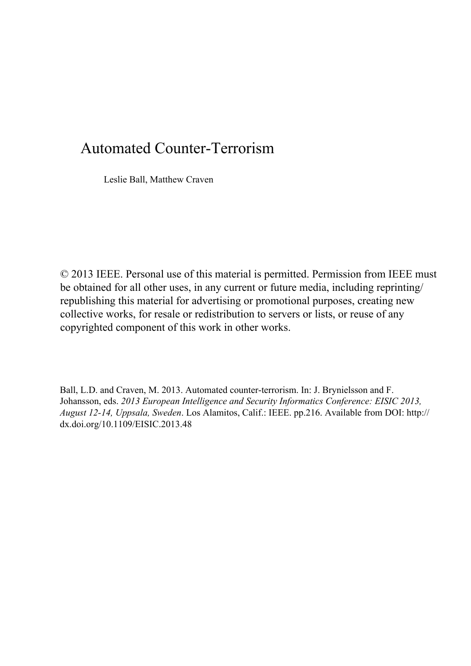## Automated Counter-Terrorism

Leslie Ball, Matthew Craven

© 2013 IEEE. Personal use of this material is permitted. Permission from IEEE must be obtained for all other uses, in any current or future media, including reprinting/ republishing this material for advertising or promotional purposes, creating new collective works, for resale or redistribution to servers or lists, or reuse of any copyrighted component of this work in other works.

Ball, L.D. and Craven, M. 2013. Automated counter-terrorism. In: J. Brynielsson and F. Johansson, eds. *2013 European Intelligence and Security Informatics Conference: EISIC 2013, August 12-14, Uppsala, Sweden*. Los Alamitos, Calif.: IEEE. pp.216. Available from DOI: http:// dx.doi.org/10.1109/EISIC.2013.48